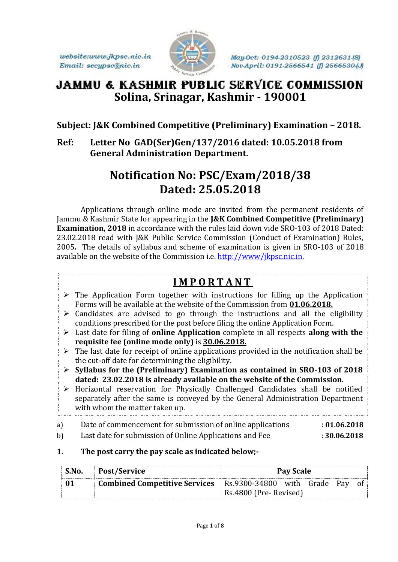website:www.jkpsc.nic.in Email: secypsc@nic.in



May-Oct: 0194-2310523 (f) 2312631-(S) Nov-April: 0191-2566541 (f) 2566530-(J)

# **JAMMU & KASHMIR PUBLIC SERVICE COMMISSION Solina, Srinagar, Kashmir - 190001**

### **Subject: J&K Combined Competitive (Preliminary) Examination – 2018.**

**Ref: Letter No GAD(Ser)Gen/137/2016 dated: 10.05.2018 from General Administration Department.**

# **Notification No: PSC/Exam/2018/38 Dated: 25.05.2018**

Applications through online mode are invited from the permanent residents of Jammu & Kashmir State for appearing in the **J&K Combined Competitive (Preliminary) Examination, 2018** in accordance with the rules laid down vide SRO-103 of 2018 Dated: 23.02.2018 read with J&K Public Service Commission (Conduct of Examination) Rules, 2005**.** The details of syllabus and scheme of examination is given in SRO-103 of 2018 available on the website of the Commission i.e[. http://www/jkpsc.nic.in.](http://www/jkpsc.nic.in)

## **I M P O R T A N T**

- $\triangleright$  The Application Form together with instructions for filling up the Application Forms will be available at the website of the Commission from **01**.**06.2018.**
- $\triangleright$  Candidates are advised to go through the instructions and all the eligibility conditions prescribed for the post before filing the online Application Form.
- Last date for filing of **online Application** complete in all respects **along with the requisite fee (online mode only)** is **30.06.2018.**
- $\triangleright$  The last date for receipt of online applications provided in the notification shall be the cut-off date for determining the eligibility.
- **Syllabus for the (Preliminary) Examination as contained in SRO-103 of 2018 dated: 23.02.2018 is already available on the website of the Commission.**
- Horizontal reservation for Physically Challenged Candidates shall be notified separately after the same is conveyed by the General Administration Department with whom the matter taken up.
- a) Date of commencement for submission of online applications : **01.06.2018** b) Last date for submission of Online Applications and Fee : **30.06.2018**
- **1. The post carry the pay scale as indicated below;-**

| $^{\circ}$ S.No. | Post/Service                                                         | Pay Scale              |  |  |  |  |
|------------------|----------------------------------------------------------------------|------------------------|--|--|--|--|
| 01               | <b>Combined Competitive Services</b> Rs.9300-34800 with Grade Pay of |                        |  |  |  |  |
|                  |                                                                      | Rs.4800 (Pre- Revised) |  |  |  |  |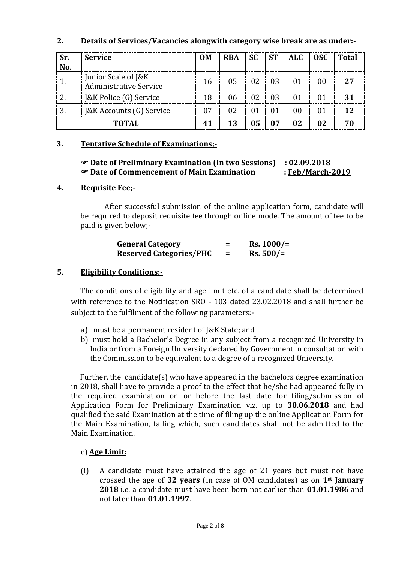#### **2. Details of Services/Vacancies alongwith category wise break are as under:-**

| Sr.<br>No. | <b>Service</b>                                       | <b>OM</b> | <b>RBA</b> | <b>SC</b> | <b>ST</b> | <b>ALC</b> | <b>OSC</b> | Total           |
|------------|------------------------------------------------------|-----------|------------|-----------|-----------|------------|------------|-----------------|
|            | Junior Scale of J&K<br><b>Administrative Service</b> | 16        | 05         | 02        | 03        | 01         | 00         | 27              |
| າ          | J&K Police (G) Service                               | 18        | 06         | 02        | 03        | 01         | 01         | 31              |
|            | J&K Accounts (G) Service                             | 07        | 02         | 01        |           | 00         | 01         | 12 <sub>2</sub> |
|            | <b>TOTAL</b>                                         | 41        | 13         | 05        |           | 02         | 02         |                 |

#### **3. Tentative Schedule of Examinations;-**

#### **Date of Preliminary Examination (In two Sessions) : 02.09.2018 Date of Commencement of Main Examination : Feb/March-2019**

#### **4. Requisite Fee;-**

After successful submission of the online application form, candidate will be required to deposit requisite fee through online mode. The amount of fee to be paid is given below;-

| <b>General Category</b>        | -<br>- | $Rs. 1000/=$ |
|--------------------------------|--------|--------------|
| <b>Reserved Categories/PHC</b> | =      | $Rs. 500/=$  |

#### **5. Eligibility Conditions;-**

The conditions of eligibility and age limit etc. of a candidate shall be determined with reference to the Notification SRO - 103 dated 23.02.2018 and shall further be subject to the fulfilment of the following parameters:-

- a) must be a permanent resident of J&K State; and
- b) must hold a Bachelor's Degree in any subject from a recognized University in India or from a Foreign University declared by Government in consultation with the Commission to be equivalent to a degree of a recognized University.

Further, the candidate(s) who have appeared in the bachelors degree examination in 2018, shall have to provide a proof to the effect that he/she had appeared fully in the required examination on or before the last date for filing/submission of Application Form for Preliminary Examination viz. up to **30.06.2018** and had qualified the said Examination at the time of filing up the online Application Form for the Main Examination, failing which, such candidates shall not be admitted to the Main Examination.

#### c) **Age Limit:**

(i) A candidate must have attained the age of 21 years but must not have crossed the age of **32 years** (in case of OM candidates) as on **1st January 2018** i.e. a candidate must have been born not earlier than **01.01.1986** and not later than **01.01.1997**.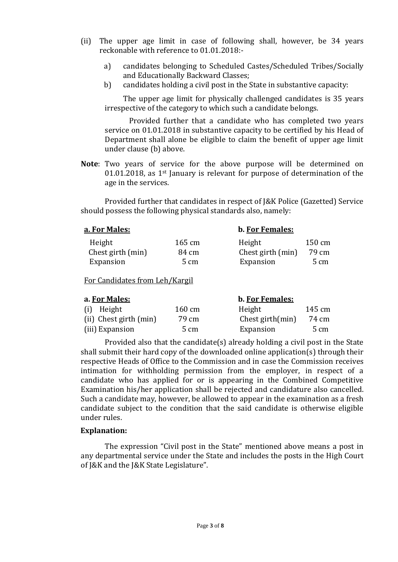- (ii) The upper age limit in case of following shall, however, be 34 years reckonable with reference to 01.01.2018:
	- a) candidates belonging to Scheduled Castes/Scheduled Tribes/Socially and Educationally Backward Classes;
	- b) candidates holding a civil post in the State in substantive capacity:

The upper age limit for physically challenged candidates is 35 years irrespective of the category to which such a candidate belongs.

Provided further that a candidate who has completed two years service on 01.01.2018 in substantive capacity to be certified by his Head of Department shall alone be eligible to claim the benefit of upper age limit under clause (b) above.

**Note**: Two years of service for the above purpose will be determined on 01.01.2018, as 1st January is relevant for purpose of determination of the age in the services.

Provided further that candidates in respect of J&K Police (Gazetted) Service should possess the following physical standards also, namely:

#### **a. For Males: b. For Females:**

| Height            | 165 cm | Height            | $150 \text{ cm}$ |
|-------------------|--------|-------------------|------------------|
| Chest girth (min) | 84 cm  | Chest girth (min) | 79 cm            |
| Expansion         | 5 cm   | Expansion         | $5 \text{ cm}$   |

For Candidates from Leh/Kargil

| a. For Males:          |        | b. For Females:     |        |  |
|------------------------|--------|---------------------|--------|--|
| (i) Height             | 160 cm | Height              | 145 cm |  |
| (ii) Chest girth (min) | 79 cm  | Chest girth $(min)$ | 74 cm  |  |
| (iii) Expansion        | 5 cm   | Expansion           | 5 cm   |  |

Provided also that the candidate(s) already holding a civil post in the State shall submit their hard copy of the downloaded online application(s) through their respective Heads of Office to the Commission and in case the Commission receives intimation for withholding permission from the employer, in respect of a candidate who has applied for or is appearing in the Combined Competitive Examination his/her application shall be rejected and candidature also cancelled. Such a candidate may, however, be allowed to appear in the examination as a fresh candidate subject to the condition that the said candidate is otherwise eligible under rules.

#### **Explanation:**

The expression "Civil post in the State" mentioned above means a post in any departmental service under the State and includes the posts in the High Court of J&K and the J&K State Legislature".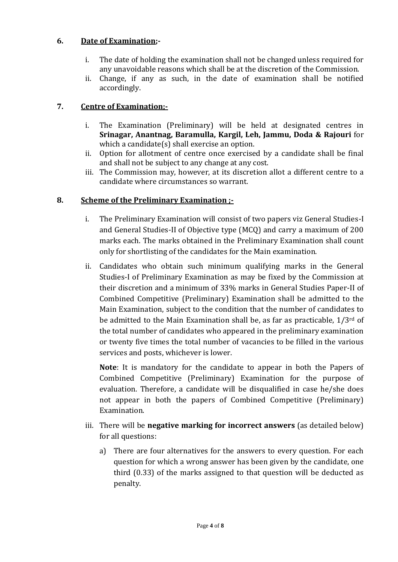#### **6. Date of Examination;-**

- i. The date of holding the examination shall not be changed unless required for any unavoidable reasons which shall be at the discretion of the Commission.
- ii. Change, if any as such, in the date of examination shall be notified accordingly.

#### **7. Centre of Examination;-**

- i. The Examination (Preliminary) will be held at designated centres in **Srinagar, Anantnag, Baramulla, Kargil, Leh, Jammu, Doda & Rajouri** for which a candidate(s) shall exercise an option.
- ii. Option for allotment of centre once exercised by a candidate shall be final and shall not be subject to any change at any cost.
- iii. The Commission may, however, at its discretion allot a different centre to a candidate where circumstances so warrant.

#### **8. Scheme of the Preliminary Examination ;-**

- i. The Preliminary Examination will consist of two papers viz General Studies-I and General Studies-II of Objective type (MCQ) and carry a maximum of 200 marks each. The marks obtained in the Preliminary Examination shall count only for shortlisting of the candidates for the Main examination.
- ii. Candidates who obtain such minimum qualifying marks in the General Studies-I of Preliminary Examination as may be fixed by the Commission at their discretion and a minimum of 33% marks in General Studies Paper-II of Combined Competitive (Preliminary) Examination shall be admitted to the Main Examination, subject to the condition that the number of candidates to be admitted to the Main Examination shall be, as far as practicable, 1/3rd of the total number of candidates who appeared in the preliminary examination or twenty five times the total number of vacancies to be filled in the various services and posts, whichever is lower.

**Note**: It is mandatory for the candidate to appear in both the Papers of Combined Competitive (Preliminary) Examination for the purpose of evaluation. Therefore, a candidate will be disqualified in case he/she does not appear in both the papers of Combined Competitive (Preliminary) Examination.

- iii. There will be **negative marking for incorrect answers** (as detailed below) for all questions:
	- a) There are four alternatives for the answers to every question. For each question for which a wrong answer has been given by the candidate, one third (0.33) of the marks assigned to that question will be deducted as penalty.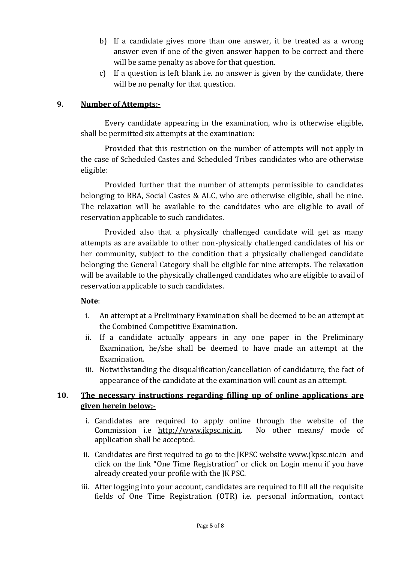- b) If a candidate gives more than one answer, it be treated as a wrong answer even if one of the given answer happen to be correct and there will be same penalty as above for that question.
- c) If a question is left blank i.e. no answer is given by the candidate, there will be no penalty for that question.

#### **9. Number of Attempts;-**

Every candidate appearing in the examination, who is otherwise eligible, shall be permitted six attempts at the examination:

Provided that this restriction on the number of attempts will not apply in the case of Scheduled Castes and Scheduled Tribes candidates who are otherwise eligible:

Provided further that the number of attempts permissible to candidates belonging to RBA, Social Castes & ALC, who are otherwise eligible, shall be nine. The relaxation will be available to the candidates who are eligible to avail of reservation applicable to such candidates.

Provided also that a physically challenged candidate will get as many attempts as are available to other non-physically challenged candidates of his or her community, subject to the condition that a physically challenged candidate belonging the General Category shall be eligible for nine attempts. The relaxation will be available to the physically challenged candidates who are eligible to avail of reservation applicable to such candidates.

#### **Note**:

- i. An attempt at a Preliminary Examination shall be deemed to be an attempt at the Combined Competitive Examination.
- ii. If a candidate actually appears in any one paper in the Preliminary Examination, he/she shall be deemed to have made an attempt at the Examination.
- iii. Notwithstanding the disqualification/cancellation of candidature, the fact of appearance of the candidate at the examination will count as an attempt.

#### **10. The necessary instructions regarding filling up of online applications are given herein below;-**

- i. Candidates are required to apply online through the website of the Commission i.e [http://www.jkpsc.nic.in.](http://www.jkpsc.nic.in/) No other means/ mode of application shall be accepted.
- ii. Candidates are first required to go to the JKPSC website [www.jkpsc.nic.in](http://www.jkpsc.nic.in/) and click on the link "One Time Registration" or click on Login menu if you have already created your profile with the JK PSC.
- iii. After logging into your account, candidates are required to fill all the requisite fields of One Time Registration (OTR) i.e. personal information, contact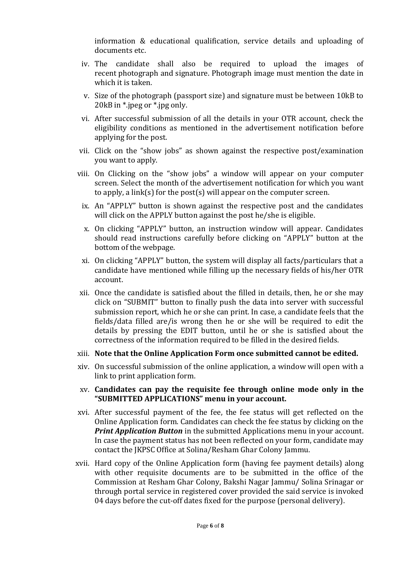information & educational qualification, service details and uploading of documents etc.

- iv. The candidate shall also be required to upload the images of recent photograph and signature. Photograph image must mention the date in which it is taken.
- v. Size of the photograph (passport size) and signature must be between 10kB to 20kB in \*.jpeg or \*.jpg only.
- vi. After successful submission of all the details in your OTR account, check the eligibility conditions as mentioned in the advertisement notification before applying for the post.
- vii. Click on the "show jobs" as shown against the respective post/examination you want to apply.
- viii. On Clicking on the "show jobs" a window will appear on your computer screen. Select the month of the advertisement notification for which you want to apply, a link(s) for the post(s) will appear on the computer screen.
	- ix. An "APPLY" button is shown against the respective post and the candidates will click on the APPLY button against the post he/she is eligible.
	- x. On clicking "APPLY" button, an instruction window will appear. Candidates should read instructions carefully before clicking on "APPLY" button at the bottom of the webpage.
	- xi. On clicking "APPLY" button, the system will display all facts/particulars that a candidate have mentioned while filling up the necessary fields of his/her OTR account.
- xii. Once the candidate is satisfied about the filled in details, then, he or she may click on "SUBMIT" button to finally push the data into server with successful submission report, which he or she can print. In case, a candidate feels that the fields/data filled are/is wrong then he or she will be required to edit the details by pressing the EDIT button, until he or she is satisfied about the correctness of the information required to be filled in the desired fields.
- xiii. **Note that the Online Application Form once submitted cannot be edited.**
- xiv. On successful submission of the online application, a window will open with a link to print application form.
- xv. **Candidates can pay the requisite fee through online mode only in the "SUBMITTED APPLICATIONS" menu in your account.**
- xvi. After successful payment of the fee, the fee status will get reflected on the Online Application form. Candidates can check the fee status by clicking on the *Print Application Button* in the submitted Applications menu in your account. In case the payment status has not been reflected on your form, candidate may contact the JKPSC Office at Solina/Resham Ghar Colony Jammu.
- xvii. Hard copy of the Online Application form (having fee payment details) along with other requisite documents are to be submitted in the office of the Commission at Resham Ghar Colony, Bakshi Nagar Jammu/ Solina Srinagar or through portal service in registered cover provided the said service is invoked 04 days before the cut-off dates fixed for the purpose (personal delivery).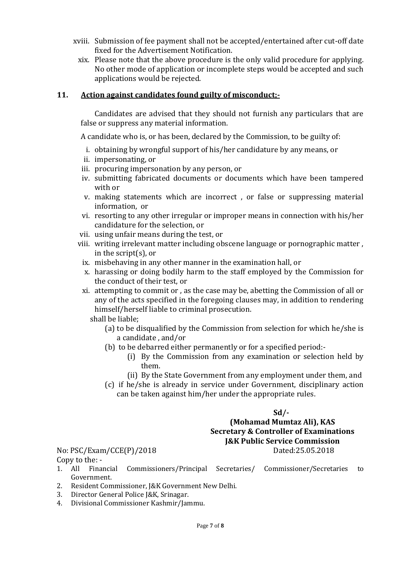- xviii. Submission of fee payment shall not be accepted/entertained after cut-off date fixed for the Advertisement Notification.
	- xix. Please note that the above procedure is the only valid procedure for applying. No other mode of application or incomplete steps would be accepted and such applications would be rejected.

#### **11. Action against candidates found guilty of misconduct;-**

Candidates are advised that they should not furnish any particulars that are false or suppress any material information.

A candidate who is, or has been, declared by the Commission, to be guilty of:

- i. obtaining by wrongful support of his/her candidature by any means, or
- ii. impersonating, or
- iii. procuring impersonation by any person, or
- iv. submitting fabricated documents or documents which have been tampered with or
- v. making statements which are incorrect , or false or suppressing material information, or
- vi. resorting to any other irregular or improper means in connection with his/her candidature for the selection, or
- vii. using unfair means during the test, or
- viii. writing irrelevant matter including obscene language or pornographic matter , in the script(s), or
	- ix. misbehaving in any other manner in the examination hall, or
	- x. harassing or doing bodily harm to the staff employed by the Commission for the conduct of their test, or
	- xi. attempting to commit or , as the case may be, abetting the Commission of all or any of the acts specified in the foregoing clauses may, in addition to rendering himself/herself liable to criminal prosecution.

shall be liable;

- (a) to be disqualified by the Commission from selection for which he/she is a candidate , and/or
- (b) to be debarred either permanently or for a specified period:-
	- (i) By the Commission from any examination or selection held by them.
	- (ii) By the State Government from any employment under them, and
- (c) if he/she is already in service under Government, disciplinary action can be taken against him/her under the appropriate rules.

#### **Sd/- (Mohamad Mumtaz Ali), KAS Secretary & Controller of Examinations J&K Public Service Commission** No: PSC/Exam/CCE(P)/2018 Dated:25.05.2018

# Copy to the: -

- 1. All Financial Commissioners/Principal Secretaries/ Commissioner/Secretaries to Government.
- 2. Resident Commissioner, J&K Government New Delhi.
- 3. Director General Police J&K, Srinagar.
- 4. Divisional Commissioner Kashmir/Jammu.